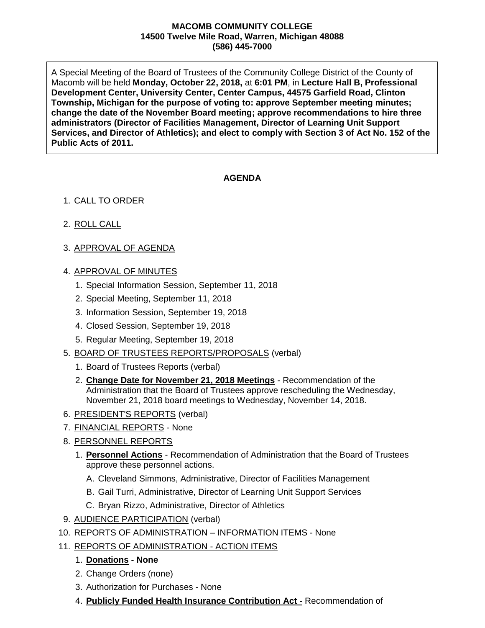## **MACOMB COMMUNITY COLLEGE 14500 Twelve Mile Road, Warren, Michigan 48088 (586) 445-7000**

A Special Meeting of the Board of Trustees of the Community College District of the County of Macomb will be held **Monday, October 22, 2018,** at **6:01 PM**, in **Lecture Hall B, Professional Development Center, University Center, Center Campus, 44575 Garfield Road, Clinton Township, Michigan for the purpose of voting to: approve September meeting minutes; change the date of the November Board meeting; approve recommendations to hire three administrators (Director of Facilities Management, Director of Learning Unit Support Services, and Director of Athletics); and elect to comply with Section 3 of Act No. 152 of the Public Acts of 2011.**

## **AGENDA**

## 1. CALL TO ORDER

- 2. ROLL CALL
- 3. APPROVAL OF AGENDA
- 4. APPROVAL OF MINUTES
	- 1. Special Information Session, September 11, 2018
	- 2. Special Meeting, September 11, 2018
	- 3. Information Session, September 19, 2018
	- 4. Closed Session, September 19, 2018
	- 5. Regular Meeting, September 19, 2018
- 5. BOARD OF TRUSTEES REPORTS/PROPOSALS (verbal)
	- 1. Board of Trustees Reports (verbal)
	- 2. **Change Date for November 21, 2018 Meetings** Recommendation of the Administration that the Board of Trustees approve rescheduling the Wednesday, November 21, 2018 board meetings to Wednesday, November 14, 2018.
- 6. PRESIDENT'S REPORTS (verbal)
- 7. FINANCIAL REPORTS None
- 8. PERSONNEL REPORTS
	- 1. **Personnel Actions** Recommendation of Administration that the Board of Trustees approve these personnel actions.
		- A. Cleveland Simmons, Administrative, Director of Facilities Management
		- B. Gail Turri, Administrative, Director of Learning Unit Support Services
		- C. Bryan Rizzo, Administrative, Director of Athletics
- 9. AUDIENCE PARTICIPATION (verbal)
- 10. REPORTS OF ADMINISTRATION INFORMATION ITEMS None

## 11. REPORTS OF ADMINISTRATION - ACTION ITEMS

- 1. **Donations - None**
- 2. Change Orders (none)
- 3. Authorization for Purchases None
- 4. **Publicly Funded Health Insurance Contribution Act -** Recommendation of